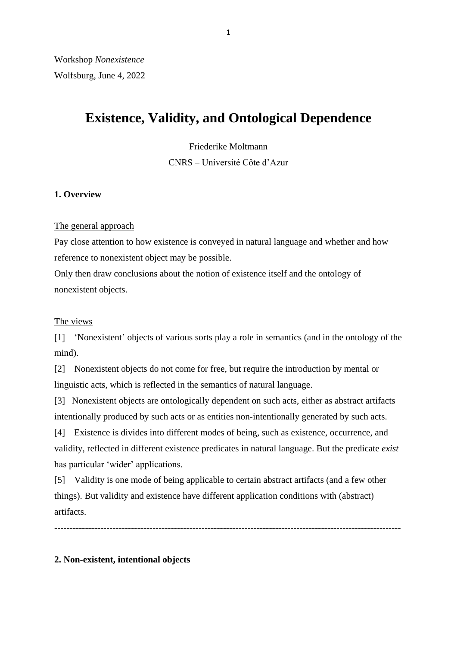# **Existence, Validity, and Ontological Dependence**

Friederike Moltmann

CNRS – Université Côte d'Azur

# **1. Overview**

# The general approach

Pay close attention to how existence is conveyed in natural language and whether and how reference to nonexistent object may be possible.

Only then draw conclusions about the notion of existence itself and the ontology of nonexistent objects.

# The views

[1] 'Nonexistent' objects of various sorts play a role in semantics (and in the ontology of the mind).

[2] Nonexistent objects do not come for free, but require the introduction by mental or linguistic acts, which is reflected in the semantics of natural language.

[3] Nonexistent objects are ontologically dependent on such acts, either as abstract artifacts intentionally produced by such acts or as entities non-intentionally generated by such acts.

[4] Existence is divides into different modes of being, such as existence, occurrence, and validity, reflected in different existence predicates in natural language. But the predicate *exist*  has particular 'wider' applications.

[5] Validity is one mode of being applicable to certain abstract artifacts (and a few other things). But validity and existence have different application conditions with (abstract) artifacts.

-----------------------------------------------------------------------------------------------------------------

# **2. Non-existent, intentional objects**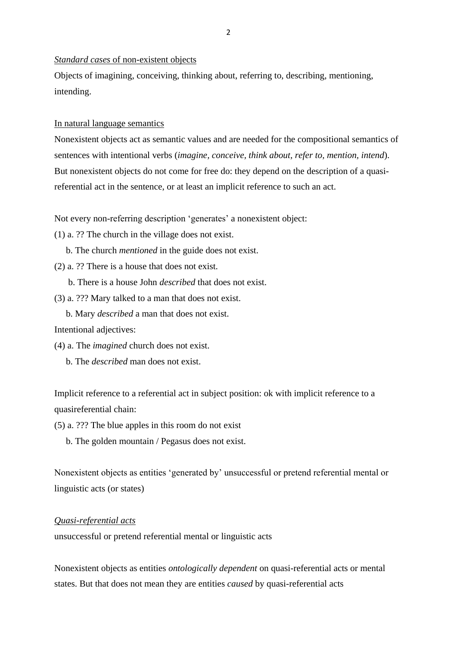*Standard cases* of non-existent objects

Objects of imagining, conceiving, thinking about, referring to, describing, mentioning, intending.

In natural language semantics

Nonexistent objects act as semantic values and are needed for the compositional semantics of sentences with intentional verbs (*imagine, conceive, think about, refer to, mention, intend*). But nonexistent objects do not come for free do: they depend on the description of a quasireferential act in the sentence, or at least an implicit reference to such an act.

Not every non-referring description 'generates' a nonexistent object:

(1) a. ?? The church in the village does not exist.

b. The church *mentioned* in the guide does not exist.

(2) a. ?? There is a house that does not exist.

b. There is a house John *described* that does not exist.

(3) a. ??? Mary talked to a man that does not exist.

b. Mary *described* a man that does not exist.

Intentional adjectives:

- (4) a. The *imagined* church does not exist.
	- b. The *described* man does not exist.

Implicit reference to a referential act in subject position: ok with implicit reference to a quasireferential chain:

(5) a. ??? The blue apples in this room do not exist

b. The golden mountain / Pegasus does not exist.

Nonexistent objects as entities 'generated by' unsuccessful or pretend referential mental or linguistic acts (or states)

# *Quasi-referential acts*

unsuccessful or pretend referential mental or linguistic acts

Nonexistent objects as entities *ontologically dependent* on quasi-referential acts or mental states. But that does not mean they are entities *caused* by quasi-referential acts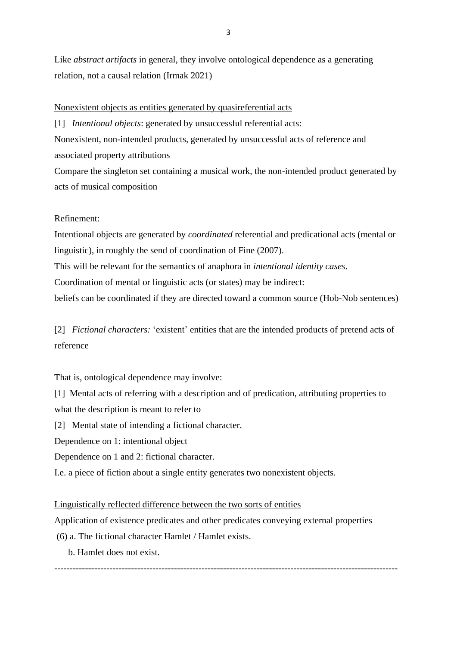Like *abstract artifacts* in general, they involve ontological dependence as a generating relation, not a causal relation (Irmak 2021)

## Nonexistent objects as entities generated by quasireferential acts

[1] *Intentional objects*: generated by unsuccessful referential acts:

Nonexistent, non-intended products, generated by unsuccessful acts of reference and associated property attributions

Compare the singleton set containing a musical work, the non-intended product generated by acts of musical composition

## Refinement:

Intentional objects are generated by *coordinated* referential and predicational acts (mental or linguistic), in roughly the send of coordination of Fine (2007).

This will be relevant for the semantics of anaphora in *intentional identity cases*.

Coordination of mental or linguistic acts (or states) may be indirect:

beliefs can be coordinated if they are directed toward a common source (Hob-Nob sentences)

[2] *Fictional characters:* 'existent' entities that are the intended products of pretend acts of reference

That is, ontological dependence may involve:

[1] Mental acts of referring with a description and of predication, attributing properties to what the description is meant to refer to

[2] Mental state of intending a fictional character.

Dependence on 1: intentional object

Dependence on 1 and 2: fictional character.

I.e. a piece of fiction about a single entity generates two nonexistent objects.

#### Linguistically reflected difference between the two sorts of entities

Application of existence predicates and other predicates conveying external properties

----------------------------------------------------------------------------------------------------------------

(6) a. The fictional character Hamlet / Hamlet exists.

b. Hamlet does not exist.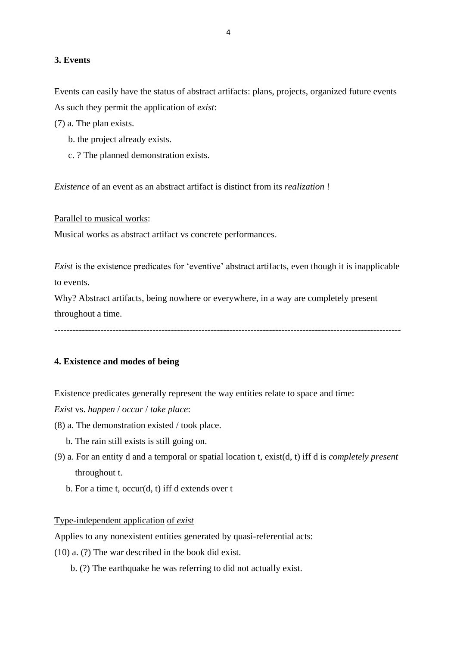## **3. Events**

Events can easily have the status of abstract artifacts: plans, projects, organized future events As such they permit the application of *exist*:

(7) a. The plan exists.

- b. the project already exists.
- c. ? The planned demonstration exists.

*Existence* of an event as an abstract artifact is distinct from its *realization* !

Parallel to musical works:

Musical works as abstract artifact vs concrete performances.

*Exist* is the existence predicates for 'eventive' abstract artifacts, even though it is inapplicable to events.

Why? Abstract artifacts, being nowhere or everywhere, in a way are completely present throughout a time.

-----------------------------------------------------------------------------------------------------------------

## **4. Existence and modes of being**

Existence predicates generally represent the way entities relate to space and time:

*Exist* vs. *happen* / *occur* / *take place*:

- (8) a. The demonstration existed / took place.
	- b. The rain still exists is still going on.
- (9) a. For an entity d and a temporal or spatial location t, exist(d, t) iff d is *completely present* throughout t.
	- b. For a time t, occur(d, t) iff d extends over t

#### Type-independent application of *exist*

Applies to any nonexistent entities generated by quasi-referential acts:

(10) a. (?) The war described in the book did exist.

b. (?) The earthquake he was referring to did not actually exist.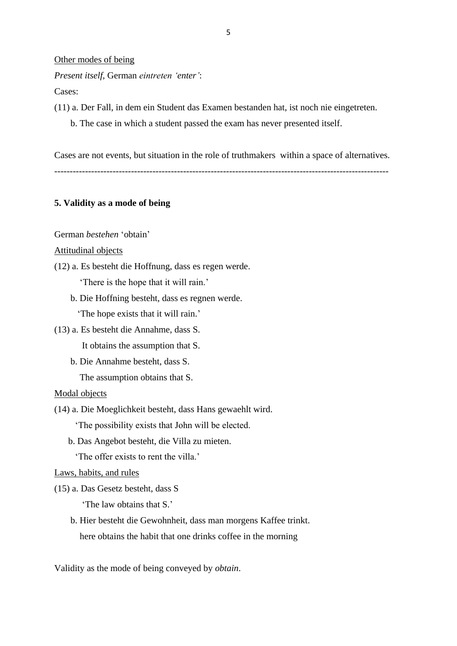#### Other modes of being

*Present itself,* German *eintreten 'enter'*:

Cases:

- (11) a. Der Fall, in dem ein Student das Examen bestanden hat, ist noch nie eingetreten.
	- b. The case in which a student passed the exam has never presented itself.

Cases are not events, but situation in the role of truthmakers within a space of alternatives.

-------------------------------------------------------------------------------------------------------------

## **5. Validity as a mode of being**

## German *bestehen* 'obtain'

## Attitudinal objects

(12) a. Es besteht die Hoffnung, dass es regen werde.

'There is the hope that it will rain.'

b. Die Hoffning besteht, dass es regnen werde.

'The hope exists that it will rain.'

- (13) a. Es besteht die Annahme, dass S. It obtains the assumption that S.
	- b. Die Annahme besteht, dass S. The assumption obtains that S.

## Modal objects

(14) a. Die Moeglichkeit besteht, dass Hans gewaehlt wird.

'The possibility exists that John will be elected.

b. Das Angebot besteht, die Villa zu mieten.

'The offer exists to rent the villa.'

Laws, habits, and rules

(15) a. Das Gesetz besteht, dass S

'The law obtains that S.'

 b. Hier besteht die Gewohnheit, dass man morgens Kaffee trinkt. here obtains the habit that one drinks coffee in the morning

Validity as the mode of being conveyed by *obtain*.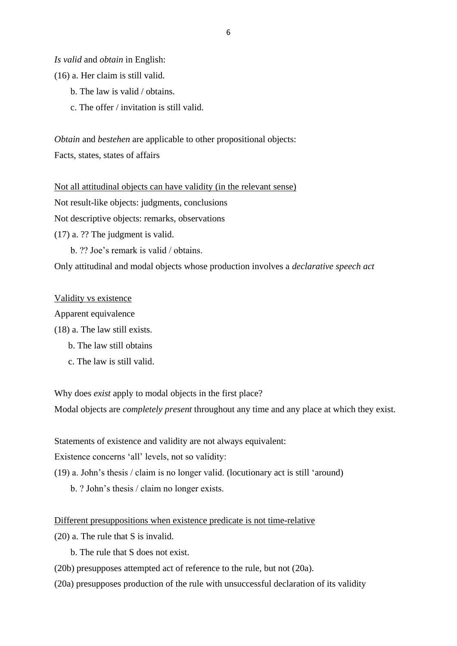*Is valid* and *obtain* in English:

- (16) a. Her claim is still valid.
	- b. The law is valid / obtains.
	- c. The offer / invitation is still valid.

*Obtain* and *bestehen* are applicable to other propositional objects: Facts, states, states of affairs

Not all attitudinal objects can have validity (in the relevant sense) Not result-like objects: judgments, conclusions

Not descriptive objects: remarks, observations

(17) a. ?? The judgment is valid.

b. ?? Joe's remark is valid / obtains.

Only attitudinal and modal objects whose production involves a *declarative speech act*

# Validity vs existence

Apparent equivalence

- (18) a. The law still exists.
	- b. The law still obtains
	- c. The law is still valid.

Why does *exist* apply to modal objects in the first place?

Modal objects are *completely present* throughout any time and any place at which they exist.

Statements of existence and validity are not always equivalent:

Existence concerns 'all' levels, not so validity:

(19) a. John's thesis / claim is no longer valid. (locutionary act is still 'around)

b. ? John's thesis / claim no longer exists.

## Different presuppositions when existence predicate is not time-relative

(20) a. The rule that S is invalid.

b. The rule that S does not exist.

- (20b) presupposes attempted act of reference to the rule, but not (20a).
- (20a) presupposes production of the rule with unsuccessful declaration of its validity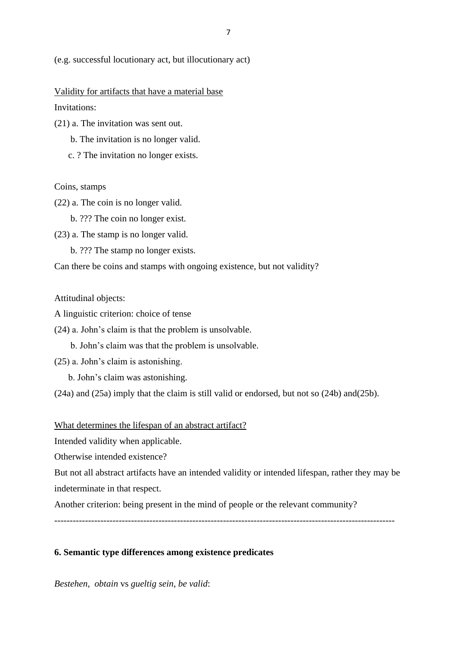(e.g. successful locutionary act, but illocutionary act)

Validity for artifacts that have a material base Invitations:

- (21) a. The invitation was sent out.
	- b. The invitation is no longer valid.
	- c. ? The invitation no longer exists.

#### Coins, stamps

- (22) a. The coin is no longer valid.
	- b. ??? The coin no longer exist.
- (23) a. The stamp is no longer valid.
	- b. ??? The stamp no longer exists.

Can there be coins and stamps with ongoing existence, but not validity?

#### Attitudinal objects:

- A linguistic criterion: choice of tense
- (24) a. John's claim is that the problem is unsolvable.
	- b. John's claim was that the problem is unsolvable.
- (25) a. John's claim is astonishing.
	- b. John's claim was astonishing.

(24a) and (25a) imply that the claim is still valid or endorsed, but not so (24b) and(25b).

#### What determines the lifespan of an abstract artifact?

Intended validity when applicable.

Otherwise intended existence?

But not all abstract artifacts have an intended validity or intended lifespan, rather they may be indeterminate in that respect.

Another criterion: being present in the mind of people or the relevant community?

---------------------------------------------------------------------------------------------------------------

## **6. Semantic type differences among existence predicates**

*Bestehen*, *obtain* vs *gueltig sein*, *be valid*: